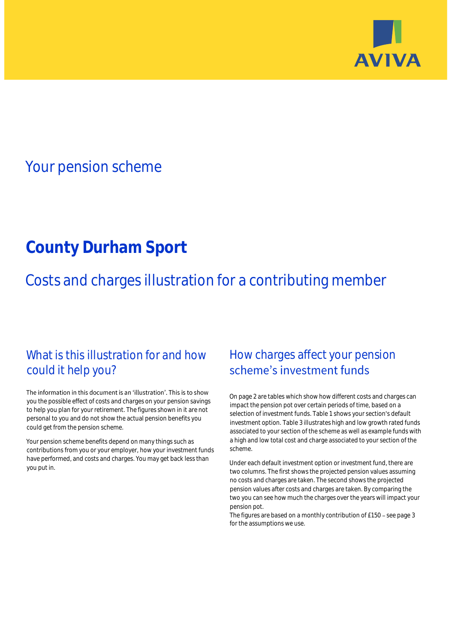

# Your pension scheme

# **County Durham Sport**

Costs and charges illustration for a contributing member

## What is this illustration for and how could it help you?

#### The information in this document is an 'illustration'. This is to show you the possible effect of costs and charges on your pension savings to help you plan for your retirement. The figures shown in it are not personal to you and do not show the actual pension benefits you could get from the pension scheme.

Your pension scheme benefits depend on many things such as contributions from you or your employer, how your investment funds have performed, and costs and charges. You may get back less than you put in.

## How charges affect your pension scheme's investment funds

On page 2 are tables which show how different costs and charges can impact the pension pot over certain periods of time, based on a selection of investment funds. Table 1 shows your section's default investment option. Table 3 illustrates high and low growth rated funds associated to your section of the scheme as well as example funds with a high and low total cost and charge associated to your section of the scheme.

Under each default investment option or investment fund, there are two columns. The first shows the projected pension values assuming no costs and charges are taken. The second shows the projected pension values after costs and charges are taken. By comparing the two you can see how much the charges over the years will impact your pension pot.

The figures are based on a monthly contribution of  $£150 -$  see page 3 for the assumptions we use.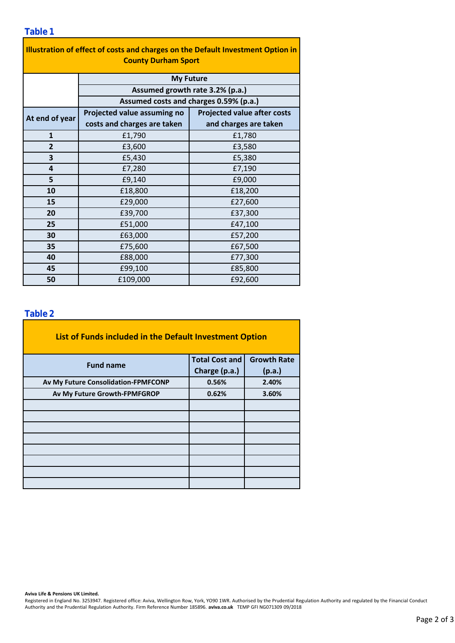| Illustration of effect of costs and charges on the Default Investment Option in<br><b>County Durham Sport</b> |                                        |                                    |  |  |  |  |  |
|---------------------------------------------------------------------------------------------------------------|----------------------------------------|------------------------------------|--|--|--|--|--|
|                                                                                                               | <b>My Future</b>                       |                                    |  |  |  |  |  |
| Assumed growth rate 3.2% (p.a.)                                                                               |                                        |                                    |  |  |  |  |  |
|                                                                                                               | Assumed costs and charges 0.59% (p.a.) |                                    |  |  |  |  |  |
| At end of year                                                                                                | Projected value assuming no            | <b>Projected value after costs</b> |  |  |  |  |  |
|                                                                                                               | costs and charges are taken            | and charges are taken              |  |  |  |  |  |
| $\mathbf{1}$                                                                                                  | £1,790                                 | £1,780                             |  |  |  |  |  |
| $\overline{2}$                                                                                                | £3,600                                 | £3,580                             |  |  |  |  |  |
| 3                                                                                                             | £5,430                                 | £5,380                             |  |  |  |  |  |
| 4                                                                                                             | £7,280                                 | £7,190                             |  |  |  |  |  |
| 5                                                                                                             | £9,140                                 | £9,000                             |  |  |  |  |  |
| 10                                                                                                            | £18,800                                | £18,200                            |  |  |  |  |  |
| 15                                                                                                            | £29,000                                | £27,600                            |  |  |  |  |  |
| 20                                                                                                            | £39,700                                | £37,300                            |  |  |  |  |  |
| 25                                                                                                            | £51,000                                | £47,100                            |  |  |  |  |  |
| 30                                                                                                            | £63,000                                | £57,200                            |  |  |  |  |  |
| 35                                                                                                            | £75,600                                | £67,500                            |  |  |  |  |  |
| 40                                                                                                            | £88,000                                | £77,300                            |  |  |  |  |  |
| 45                                                                                                            | £99,100                                | £85,800                            |  |  |  |  |  |
| 50                                                                                                            | £109,000                               | £92,600                            |  |  |  |  |  |

### **Table 2**

| List of Funds included in the Default Investment Option |                       |                    |
|---------------------------------------------------------|-----------------------|--------------------|
| <b>Fund name</b>                                        | <b>Total Cost and</b> | <b>Growth Rate</b> |
|                                                         | Charge (p.a.)         | (p.a.)             |
| Av My Future Consolidation-FPMFCONP                     | 0.56%                 | 2.40%              |
| Av My Future Growth-FPMFGROP                            | 0.62%                 | 3.60%              |
|                                                         |                       |                    |
|                                                         |                       |                    |
|                                                         |                       |                    |
|                                                         |                       |                    |
|                                                         |                       |                    |
|                                                         |                       |                    |
|                                                         |                       |                    |
|                                                         |                       |                    |

**Aviva Life & Pensions UK Limited.**

Registered in England No. 3253947. Registered office: Aviva, Wellington Row, York, YO90 1WR. Authorised by the Prudential Regulation Authority and regulated by the Financial Conduct Authority and the Prudential Regulation Authority. Firm Reference Number 185896. **aviva.co.uk** TEMP GFI NG071309 09/2018